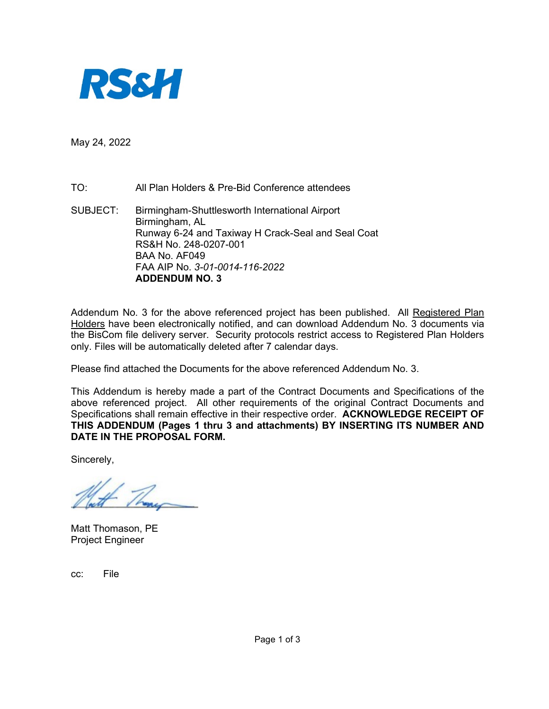

May 24, 2022

TO: All Plan Holders & Pre-Bid Conference attendees

SUBJECT: Birmingham-Shuttlesworth International Airport Birmingham, AL Runway 6-24 and Taxiway H Crack-Seal and Seal Coat RS&H No. 248-0207-001 BAA No. AF049 FAA AIP No. *3-01-0014-116-2022* **ADDENDUM NO. 3**

Addendum No. 3 for the above referenced project has been published. All Registered Plan Holders have been electronically notified, and can download Addendum No. 3 documents via the BisCom file delivery server. Security protocols restrict access to Registered Plan Holders only. Files will be automatically deleted after 7 calendar days.

Please find attached the Documents for the above referenced Addendum No. 3.

This Addendum is hereby made a part of the Contract Documents and Specifications of the above referenced project. All other requirements of the original Contract Documents and Specifications shall remain effective in their respective order. **ACKNOWLEDGE RECEIPT OF THIS ADDENDUM (Pages 1 thru 3 and attachments) BY INSERTING ITS NUMBER AND DATE IN THE PROPOSAL FORM.** 

Sincerely,

Matt Thomason, PE Project Engineer

cc: File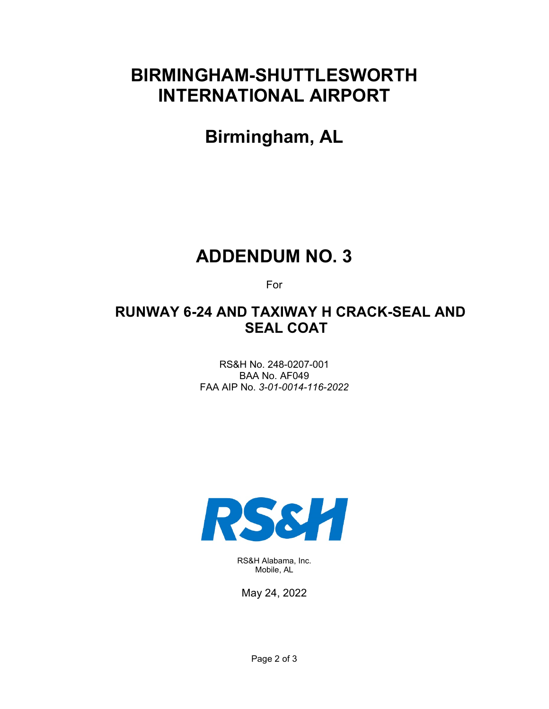# **BIRMINGHAM-SHUTTLESWORTH INTERNATIONAL AIRPORT**

**Birmingham, AL** 

# **ADDENDUM NO. 3**

For

# **RUNWAY 6-24 AND TAXIWAY H CRACK-SEAL AND SEAL COAT**

RS&H No. 248-0207-001 BAA No. AF049 FAA AIP No. *3-01-0014-116-2022*



RS&H Alabama, Inc. Mobile, AL

May 24, 2022